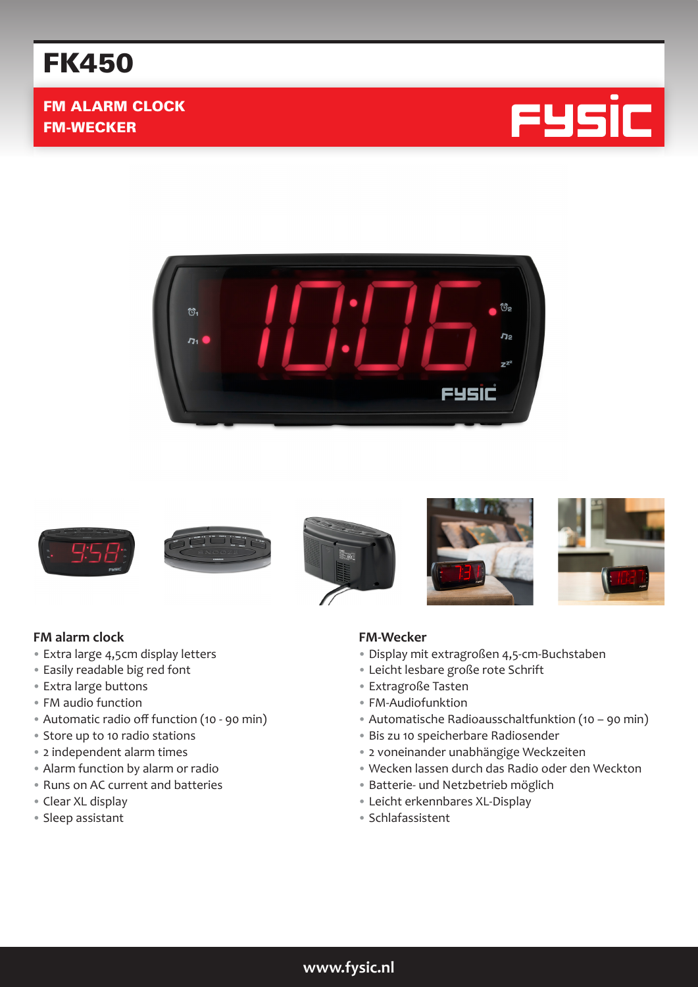## FK450

#### FM ALARM CLOCK FM-WECKER









# $\frac{1}{2}$  in  $\epsilon$





#### **FM-Wecker**

- Display mit extragroßen 4,5-cm-Buchstaben
- Leicht lesbare große rote Schrift
- Extragroße Tasten
- FM-Audiofunktion
- Automatische Radioausschaltfunktion (10 90 min)
- Bis zu 10 speicherbare Radiosender
- 2 voneinander unabhängige Weckzeiten
- Wecken lassen durch das Radio oder den Weckton
- Batterie- und Netzbetrieb möglich
- Leicht erkennbares XL-Display
- Schlafassistent

#### **FM alarm clock**

- Extra large 4,5cm display letters
- Easily readable big red font
- Extra large buttons
- FM audio function
- Automatic radio off function (10 90 min)
- Store up to 10 radio stations
- 2 independent alarm times
- Alarm function by alarm or radio
- Runs on AC current and batteries
- Clear XL display
- Sleep assistant